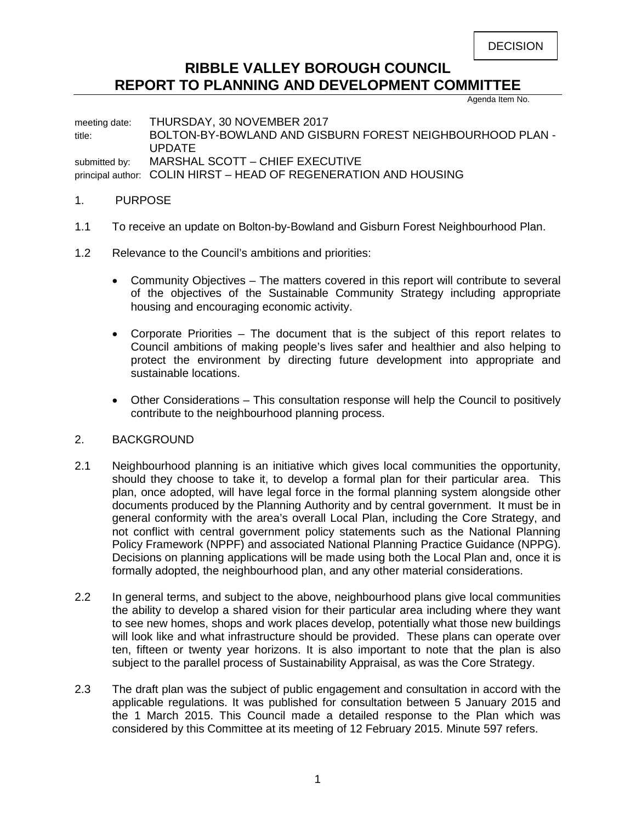## **RIBBLE VALLEY BOROUGH COUNCIL REPORT TO PLANNING AND DEVELOPMENT COMMITTEE**

Agenda Item No.

meeting date: THURSDAY, 30 NOVEMBER 2017 title: BOLTON-BY-BOWLAND AND GISBURN FOREST NEIGHBOURHOOD PLAN - UPDATE submitted by: MARSHAL SCOTT - CHIEF EXECUTIVE principal author: COLIN HIRST – HEAD OF REGENERATION AND HOUSING

## 1. PURPOSE

- 1.1 To receive an update on Bolton-by-Bowland and Gisburn Forest Neighbourhood Plan.
- 1.2 Relevance to the Council's ambitions and priorities:
	- Community Objectives The matters covered in this report will contribute to several of the objectives of the Sustainable Community Strategy including appropriate housing and encouraging economic activity.
	- Corporate Priorities The document that is the subject of this report relates to Council ambitions of making people's lives safer and healthier and also helping to protect the environment by directing future development into appropriate and sustainable locations.
	- Other Considerations This consultation response will help the Council to positively contribute to the neighbourhood planning process.

## 2. BACKGROUND

- 2.1 Neighbourhood planning is an initiative which gives local communities the opportunity, should they choose to take it, to develop a formal plan for their particular area. This plan, once adopted, will have legal force in the formal planning system alongside other documents produced by the Planning Authority and by central government. It must be in general conformity with the area's overall Local Plan, including the Core Strategy, and not conflict with central government policy statements such as the National Planning Policy Framework (NPPF) and associated National Planning Practice Guidance (NPPG). Decisions on planning applications will be made using both the Local Plan and, once it is formally adopted, the neighbourhood plan, and any other material considerations.
- 2.2 In general terms, and subject to the above, neighbourhood plans give local communities the ability to develop a shared vision for their particular area including where they want to see new homes, shops and work places develop, potentially what those new buildings will look like and what infrastructure should be provided. These plans can operate over ten, fifteen or twenty year horizons. It is also important to note that the plan is also subject to the parallel process of Sustainability Appraisal, as was the Core Strategy.
- 2.3 The draft plan was the subject of public engagement and consultation in accord with the applicable regulations. It was published for consultation between 5 January 2015 and the 1 March 2015. This Council made a detailed response to the Plan which was considered by this Committee at its meeting of 12 February 2015. Minute 597 refers.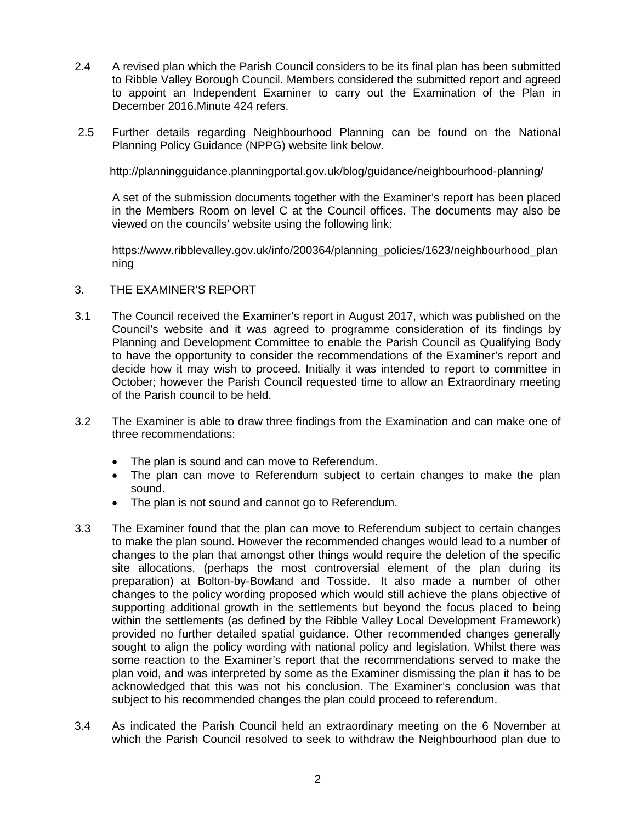- 2.4 A revised plan which the Parish Council considers to be its final plan has been submitted to Ribble Valley Borough Council. Members considered the submitted report and agreed to appoint an Independent Examiner to carry out the Examination of the Plan in December 2016.Minute 424 refers.
- 2.5 Further details regarding Neighbourhood Planning can be found on the National Planning Policy Guidance (NPPG) website link below.

http://planningguidance.planningportal.gov.uk/blog/guidance/neighbourhood-planning/

A set of the submission documents together with the Examiner's report has been placed in the Members Room on level C at the Council offices. The documents may also be viewed on the councils' website using the following link:

https://www.ribblevalley.gov.uk/info/200364/planning\_policies/1623/neighbourhood\_plan ning

- 3. THE EXAMINER'S REPORT
- 3.1 The Council received the Examiner's report in August 2017, which was published on the Council's website and it was agreed to programme consideration of its findings by Planning and Development Committee to enable the Parish Council as Qualifying Body to have the opportunity to consider the recommendations of the Examiner's report and decide how it may wish to proceed. Initially it was intended to report to committee in October; however the Parish Council requested time to allow an Extraordinary meeting of the Parish council to be held.
- 3.2 The Examiner is able to draw three findings from the Examination and can make one of three recommendations:
	- The plan is sound and can move to Referendum.
	- The plan can move to Referendum subject to certain changes to make the plan sound.
	- The plan is not sound and cannot go to Referendum.
- 3.3 The Examiner found that the plan can move to Referendum subject to certain changes to make the plan sound. However the recommended changes would lead to a number of changes to the plan that amongst other things would require the deletion of the specific site allocations, (perhaps the most controversial element of the plan during its preparation) at Bolton-by-Bowland and Tosside. It also made a number of other changes to the policy wording proposed which would still achieve the plans objective of supporting additional growth in the settlements but beyond the focus placed to being within the settlements (as defined by the Ribble Valley Local Development Framework) provided no further detailed spatial guidance. Other recommended changes generally sought to align the policy wording with national policy and legislation. Whilst there was some reaction to the Examiner's report that the recommendations served to make the plan void, and was interpreted by some as the Examiner dismissing the plan it has to be acknowledged that this was not his conclusion. The Examiner's conclusion was that subject to his recommended changes the plan could proceed to referendum.
- 3.4 As indicated the Parish Council held an extraordinary meeting on the 6 November at which the Parish Council resolved to seek to withdraw the Neighbourhood plan due to